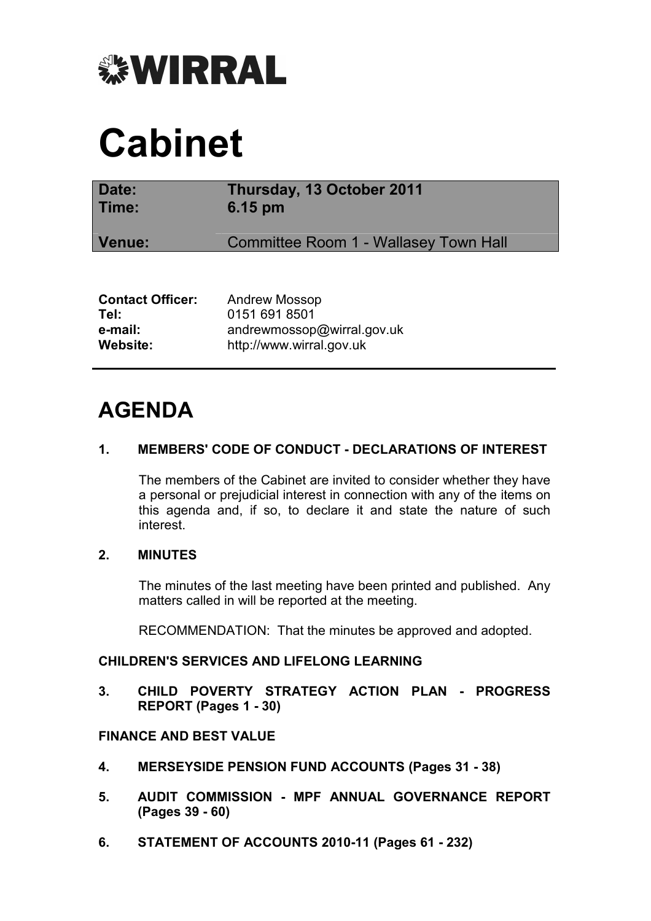

# **Cabinet**

| Date:<br>Time:          | Thursday, 13 October 2011<br>$6.15 \text{ pm}$ |  |  |
|-------------------------|------------------------------------------------|--|--|
| Venue:                  | Committee Room 1 - Wallasey Town Hall          |  |  |
|                         |                                                |  |  |
| <b>Contact Officer:</b> | <b>Andrew Mossop</b>                           |  |  |
| Tel:<br>e-mail:         | 0151 691 8501<br>andrewmossop@wirral.gov.uk    |  |  |
| Website:                | http://www.wirral.gov.uk                       |  |  |

**Website:** http://www.wirral.gov.uk

## **AGENDA**

#### **1. MEMBERS' CODE OF CONDUCT - DECLARATIONS OF INTEREST**

 The members of the Cabinet are invited to consider whether they have a personal or prejudicial interest in connection with any of the items on this agenda and, if so, to declare it and state the nature of such interest.

#### **2. MINUTES**

 The minutes of the last meeting have been printed and published. Any matters called in will be reported at the meeting.

RECOMMENDATION: That the minutes be approved and adopted.

#### **CHILDREN'S SERVICES AND LIFELONG LEARNING**

**3. CHILD POVERTY STRATEGY ACTION PLAN - PROGRESS REPORT (Pages 1 - 30)** 

### **FINANCE AND BEST VALUE**

- **4. MERSEYSIDE PENSION FUND ACCOUNTS (Pages 31 38)**
- **5. AUDIT COMMISSION MPF ANNUAL GOVERNANCE REPORT (Pages 39 - 60)**
- **6. STATEMENT OF ACCOUNTS 2010-11 (Pages 61 232)**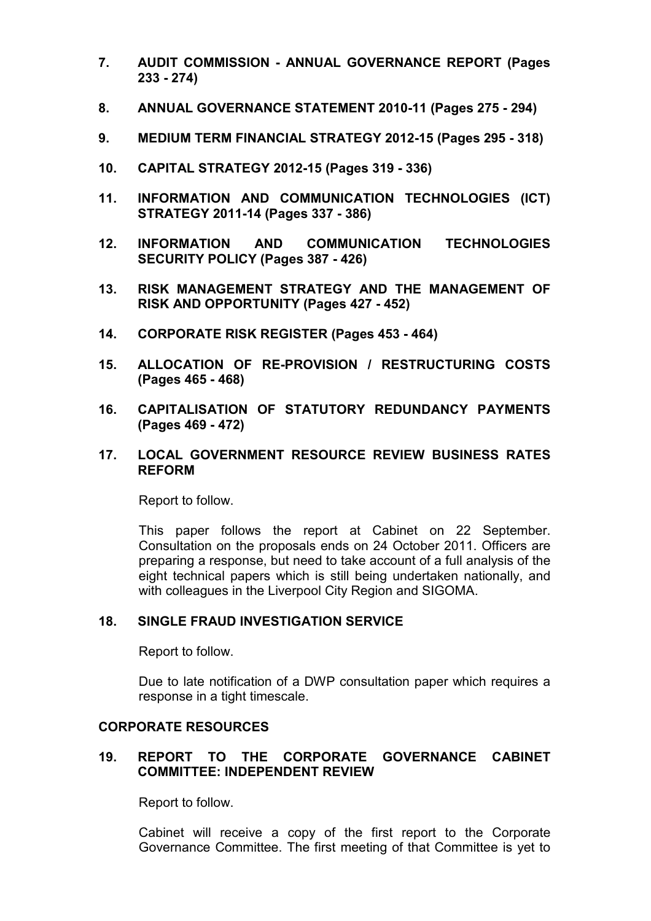- **7. AUDIT COMMISSION ANNUAL GOVERNANCE REPORT (Pages 233 - 274)**
- **8. ANNUAL GOVERNANCE STATEMENT 2010-11 (Pages 275 294)**
- **9. MEDIUM TERM FINANCIAL STRATEGY 2012-15 (Pages 295 318)**
- **10. CAPITAL STRATEGY 2012-15 (Pages 319 336)**
- **11. INFORMATION AND COMMUNICATION TECHNOLOGIES (ICT) STRATEGY 2011-14 (Pages 337 - 386)**
- **12. INFORMATION AND COMMUNICATION TECHNOLOGIES SECURITY POLICY (Pages 387 - 426)**
- **13. RISK MANAGEMENT STRATEGY AND THE MANAGEMENT OF RISK AND OPPORTUNITY (Pages 427 - 452)**
- **14. CORPORATE RISK REGISTER (Pages 453 464)**
- **15. ALLOCATION OF RE-PROVISION / RESTRUCTURING COSTS (Pages 465 - 468)**
- **16. CAPITALISATION OF STATUTORY REDUNDANCY PAYMENTS (Pages 469 - 472)**
- **17. LOCAL GOVERNMENT RESOURCE REVIEW BUSINESS RATES REFORM**

Report to follow.

This paper follows the report at Cabinet on 22 September. Consultation on the proposals ends on 24 October 2011. Officers are preparing a response, but need to take account of a full analysis of the eight technical papers which is still being undertaken nationally, and with colleagues in the Liverpool City Region and SIGOMA.

#### **18. SINGLE FRAUD INVESTIGATION SERVICE**

Report to follow.

Due to late notification of a DWP consultation paper which requires a response in a tight timescale.

#### **CORPORATE RESOURCES**

#### **19. REPORT TO THE CORPORATE GOVERNANCE CABINET COMMITTEE: INDEPENDENT REVIEW**

Report to follow.

Cabinet will receive a copy of the first report to the Corporate Governance Committee. The first meeting of that Committee is yet to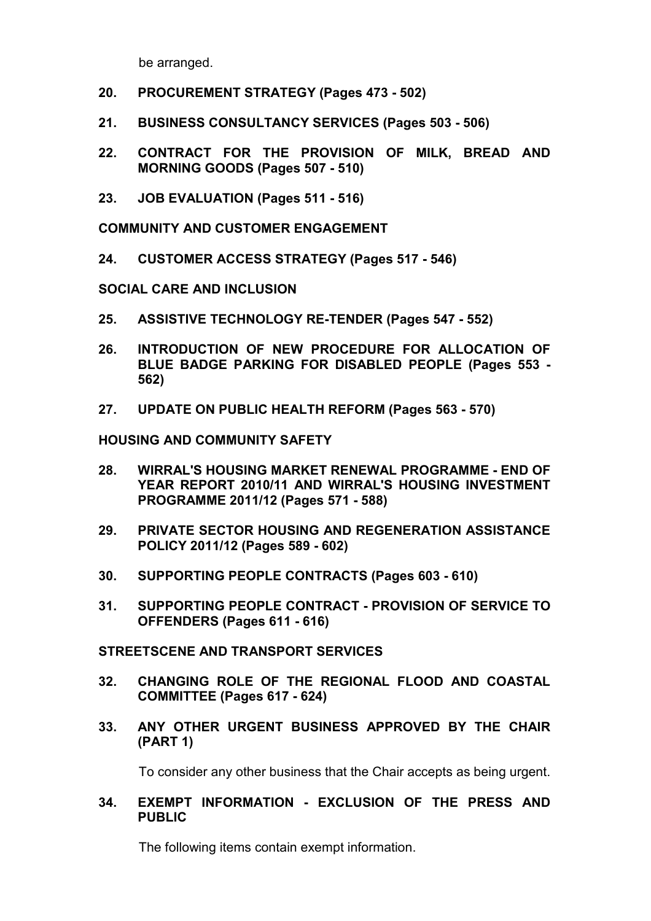be arranged.

- **20. PROCUREMENT STRATEGY (Pages 473 502)**
- **21. BUSINESS CONSULTANCY SERVICES (Pages 503 506)**
- **22. CONTRACT FOR THE PROVISION OF MILK, BREAD AND MORNING GOODS (Pages 507 - 510)**
- **23. JOB EVALUATION (Pages 511 516)**

**COMMUNITY AND CUSTOMER ENGAGEMENT** 

**24. CUSTOMER ACCESS STRATEGY (Pages 517 - 546)** 

**SOCIAL CARE AND INCLUSION** 

- **25. ASSISTIVE TECHNOLOGY RE-TENDER (Pages 547 552)**
- **26. INTRODUCTION OF NEW PROCEDURE FOR ALLOCATION OF BLUE BADGE PARKING FOR DISABLED PEOPLE (Pages 553 - 562)**
- **27. UPDATE ON PUBLIC HEALTH REFORM (Pages 563 570)**

**HOUSING AND COMMUNITY SAFETY** 

- **28. WIRRAL'S HOUSING MARKET RENEWAL PROGRAMME END OF YEAR REPORT 2010/11 AND WIRRAL'S HOUSING INVESTMENT PROGRAMME 2011/12 (Pages 571 - 588)**
- **29. PRIVATE SECTOR HOUSING AND REGENERATION ASSISTANCE POLICY 2011/12 (Pages 589 - 602)**
- **30. SUPPORTING PEOPLE CONTRACTS (Pages 603 610)**
- **31. SUPPORTING PEOPLE CONTRACT PROVISION OF SERVICE TO OFFENDERS (Pages 611 - 616)**

#### **STREETSCENE AND TRANSPORT SERVICES**

- **32. CHANGING ROLE OF THE REGIONAL FLOOD AND COASTAL COMMITTEE (Pages 617 - 624)**
- **33. ANY OTHER URGENT BUSINESS APPROVED BY THE CHAIR (PART 1)**

To consider any other business that the Chair accepts as being urgent.

**34. EXEMPT INFORMATION - EXCLUSION OF THE PRESS AND PUBLIC** 

The following items contain exempt information.